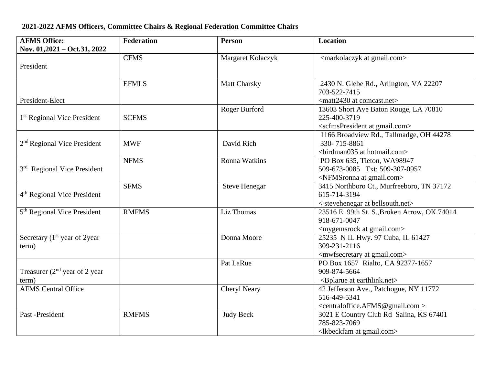## **AFMS Office: Nov. 01,2021 – Oct.31, 2022 Federation Person Location** President CFMS Margaret Kolaczyk (markolaczyk at gmail.com> President-Elect EFMLS Matt Charsky 2430 N. Glebe Rd., Arlington, VA 22207 703-522-7415 <matt2430 at comcast.net> 1<sup>st</sup> Regional Vice President | SCFMS Roger Burford 13603 Short Ave Baton Rouge, LA 70810 225-400-3719 <scfmsPresident at gmail.com> 2<sup>nd</sup> Regional Vice President | MWF | David Rich 1166 Broadview Rd., Tallmadge, OH 44278 330- 715-8861 <birdman035 at hotmail.com> 3<sup>rd</sup> Regional Vice President NFMS Ronna Watkins PO Box 635, Tieton, WA98947 509-673-0085 Txt: 509-307-0957 <NFMSronna at gmail.com> 4<sup>th</sup> Regional Vice President SFMS Steve Henegar 3415 Northboro Ct., Murfreeboro, TN 37172 615-714-3194 < stevehenegar at bellsouth.net> 5<sup>th</sup> Regional Vice President RMFMS Liz Thomas 23516 E. 99th St. S.,Broken Arrow, OK 74014 918-671-0047 <mygemsrock at gmail.com> Secretary  $(1<sup>st</sup>$  year of 2year term) Donna Moore 25235 N IL Hwy. 97 Cuba, IL 61427 309-231-2116 <mwfsecretary at gmail.com> Treasurer  $(2<sup>nd</sup>$  year of 2 year term)<br>AFMS Central Office Pat LaRue PO Box 1657 Rialto, CA 92377-1657 909-874-5664 <Bplarue at earthlink.net> Cheryl Neary 142 Jefferson Ave., Patchogue, NY 11772 516-449-5341 <centraloffice.AFMS@gmail.com > Past -President RMFMS Judy Beck 3021 E Country Club Rd Salina, KS 67401 785-823-7069 <lkbeckfam at gmail.com>

## **2021-2022 AFMS Officers, Committee Chairs & Regional Federation Committee Chairs**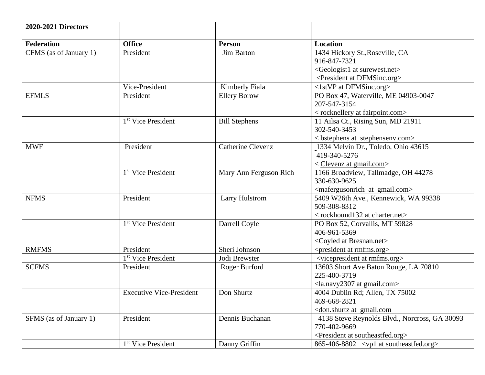| <b>2020-2021 Directors</b> |                                 |                          |                                                      |
|----------------------------|---------------------------------|--------------------------|------------------------------------------------------|
| <b>Federation</b>          | <b>Office</b>                   | <b>Person</b>            | Location                                             |
| CFMS (as of January 1)     | President                       | Jim Barton               | 1434 Hickory St., Roseville, CA                      |
|                            |                                 |                          | 916-847-7321                                         |
|                            |                                 |                          | <geologist1 at="" surewest.net=""></geologist1>      |
|                            |                                 |                          | <president at="" dfmsinc.org=""></president>         |
|                            | Vice-President                  | Kimberly Fiala           | <1stVP at DFMSinc.org>                               |
| <b>EFMLS</b>               | President                       | <b>Ellery Borow</b>      | PO Box 47, Waterville, ME 04903-0047                 |
|                            |                                 |                          | 207-547-3154                                         |
|                            |                                 |                          | < rocknellery at fairpoint.com>                      |
|                            | 1 <sup>st</sup> Vice President  | <b>Bill Stephens</b>     | 11 Ailsa Ct., Rising Sun, MD 21911                   |
|                            |                                 |                          | 302-540-3453                                         |
|                            |                                 |                          | <br>stephens at stephensenv.com>                     |
| <b>MWF</b>                 | President                       | <b>Catherine Clevenz</b> | 1334 Melvin Dr., Toledo, Ohio 43615                  |
|                            |                                 |                          | 419-340-5276                                         |
|                            |                                 |                          | $\langle$ Clevenz at gmail.com $>$                   |
|                            | 1 <sup>st</sup> Vice President  | Mary Ann Ferguson Rich   | 1166 Broadview, Tallmadge, OH 44278                  |
|                            |                                 |                          | 330-630-9625                                         |
|                            |                                 |                          | <mafergusonrich at="" gmail.com=""></mafergusonrich> |
| <b>NFMS</b>                | President                       | <b>Larry Hulstrom</b>    | 5409 W26th Ave., Kennewick, WA 99338                 |
|                            |                                 |                          | 509-308-8312                                         |
|                            |                                 |                          | < rockhound132 at charter.net>                       |
|                            | 1 <sup>st</sup> Vice President  | Darrell Coyle            | PO Box 52, Corvallis, MT 59828                       |
|                            |                                 |                          | 406-961-5369                                         |
|                            |                                 |                          | <coyled at="" bresnan.net=""></coyled>               |
| <b>RMFMS</b>               | President                       | Sheri Johnson            | <president at="" rmfms.org=""></president>           |
|                            | 1 <sup>st</sup> Vice President  | Jodi Brewster            | <vicepresident at="" rmfms.org=""></vicepresident>   |
| <b>SCFMS</b>               | President                       | Roger Burford            | 13603 Short Ave Baton Rouge, LA 70810                |
|                            |                                 |                          | 225-400-3719                                         |
|                            |                                 |                          | <la.navy2307 at="" gmail.com=""></la.navy2307>       |
|                            | <b>Executive Vice-President</b> | Don Shurtz               | 4004 Dublin Rd; Allen, TX 75002                      |
|                            |                                 |                          | 469-668-2821                                         |
|                            |                                 |                          | <don.shurtz at="" gmail.com<="" td=""></don.shurtz>  |
| SFMS (as of January 1)     | President                       | Dennis Buchanan          | 4138 Steve Reynolds Blvd., Norcross, GA 30093        |
|                            |                                 |                          | 770-402-9669                                         |
|                            |                                 |                          | <president at="" southeastfed.org=""></president>    |
|                            | 1 <sup>st</sup> Vice President  | Danny Griffin            | $865-406-8802$ <vp1 at="" southeastfed.org=""></vp1> |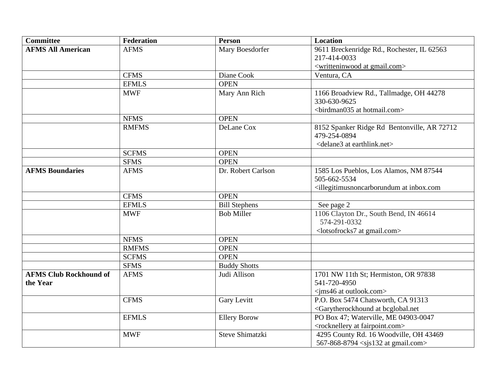| <b>Committee</b>              | <b>Federation</b> | Person               | <b>Location</b>                                                                   |
|-------------------------------|-------------------|----------------------|-----------------------------------------------------------------------------------|
| <b>AFMS All American</b>      | <b>AFMS</b>       | Mary Boesdorfer      | 9611 Breckenridge Rd., Rochester, IL 62563                                        |
|                               |                   |                      | 217-414-0033                                                                      |
|                               |                   |                      | <writteninwood at="" gmail.com=""></writteninwood>                                |
|                               | <b>CFMS</b>       | Diane Cook           | Ventura, CA                                                                       |
|                               | <b>EFMLS</b>      | <b>OPEN</b>          |                                                                                   |
|                               | <b>MWF</b>        | Mary Ann Rich        | 1166 Broadview Rd., Tallmadge, OH 44278<br>330-630-9625                           |
|                               |                   |                      | <br>birdman035 at hotmail.com>                                                    |
|                               | <b>NFMS</b>       | <b>OPEN</b>          |                                                                                   |
|                               | <b>RMFMS</b>      | DeLane Cox           | 8152 Spanker Ridge Rd Bentonville, AR 72712<br>479-254-0894                       |
|                               |                   |                      | <delane3 at="" earthlink.net=""></delane3>                                        |
|                               | <b>SCFMS</b>      | <b>OPEN</b>          |                                                                                   |
|                               | <b>SFMS</b>       | <b>OPEN</b>          |                                                                                   |
| <b>AFMS Boundaries</b>        | <b>AFMS</b>       | Dr. Robert Carlson   | 1585 Los Pueblos, Los Alamos, NM 87544                                            |
|                               |                   |                      | 505-662-5534                                                                      |
|                               |                   |                      | <illegitimusnoncarborundum at="" inbox.com<="" td=""></illegitimusnoncarborundum> |
|                               | <b>CFMS</b>       | <b>OPEN</b>          |                                                                                   |
|                               | <b>EFMLS</b>      | <b>Bill Stephens</b> | See page 2                                                                        |
|                               | <b>MWF</b>        | <b>Bob Miller</b>    | 1106 Clayton Dr., South Bend, IN 46614<br>574-291-0332                            |
|                               |                   |                      | <lotsofrocks7 at="" gmail.com=""></lotsofrocks7>                                  |
|                               | <b>NFMS</b>       | <b>OPEN</b>          |                                                                                   |
|                               | <b>RMFMS</b>      | <b>OPEN</b>          |                                                                                   |
|                               | <b>SCFMS</b>      | <b>OPEN</b>          |                                                                                   |
|                               | <b>SFMS</b>       | <b>Buddy Shotts</b>  |                                                                                   |
| <b>AFMS Club Rockhound of</b> | <b>AFMS</b>       | Judi Allison         | 1701 NW 11th St; Hermiston, OR 97838                                              |
| the Year                      |                   |                      | 541-720-4950                                                                      |
|                               |                   |                      | <ims46 at="" outlook.com=""></ims46>                                              |
|                               | <b>CFMS</b>       | <b>Gary Levitt</b>   | P.O. Box 5474 Chatsworth, CA 91313                                                |
|                               |                   |                      | <garytherockhound at="" bcglobal.net<="" td=""></garytherockhound>                |
|                               | <b>EFMLS</b>      | <b>Ellery Borow</b>  | PO Box 47; Waterville, ME 04903-0047                                              |
|                               |                   |                      | <rocknellery at="" fairpoint.com=""></rocknellery>                                |
|                               | <b>MWF</b>        | Steve Shimatzki      | 4295 County Rd. 16 Woodville, OH 43469                                            |
|                               |                   |                      | 567-868-8794 <sjs132 at="" gmail.com=""></sjs132>                                 |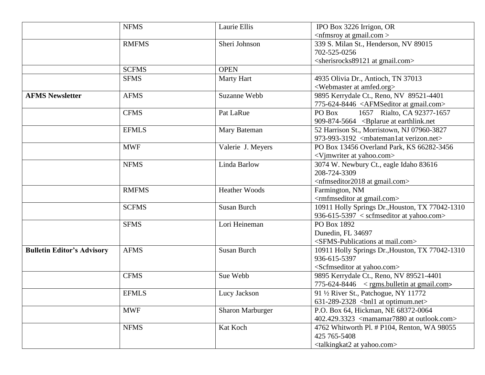|                                   | <b>NFMS</b>  | Laurie Ellis            | IPO Box 3226 Irrigon, OR                                                                                          |
|-----------------------------------|--------------|-------------------------|-------------------------------------------------------------------------------------------------------------------|
|                                   |              |                         | $\langle$ nfmsroy at gmail.com $>$                                                                                |
|                                   | <b>RMFMS</b> | Sheri Johnson           | 339 S. Milan St., Henderson, NV 89015<br>702-525-0256                                                             |
|                                   |              |                         | <sherisrocks89121 at="" gmail.com=""></sherisrocks89121>                                                          |
|                                   | <b>SCFMS</b> | <b>OPEN</b>             |                                                                                                                   |
|                                   | <b>SFMS</b>  | Marty Hart              | 4935 Olivia Dr., Antioch, TN 37013<br><webmaster amfed.org="" at=""></webmaster>                                  |
| <b>AFMS Newsletter</b>            | <b>AFMS</b>  | Suzanne Webb            | 9895 Kerrydale Ct., Reno, NV 89521-4401<br>775-624-8446 <afmseditor at="" gmail.com=""></afmseditor>              |
|                                   | <b>CFMS</b>  | Pat LaRue               | PO Box<br>1657 Rialto, CA 92377-1657<br>909-874-5664 <bplarue at="" earthlink.net<="" td=""></bplarue>            |
|                                   | <b>EFMLS</b> | Mary Bateman            | 52 Harrison St., Morristown, NJ 07960-3827<br>973-993-3192 <mbateman1at verizon.net=""></mbateman1at>             |
|                                   | <b>MWF</b>   | Valerie J. Meyers       | PO Box 13456 Overland Park, KS 66282-3456<br><vjmwriter at="" yahoo.com=""></vjmwriter>                           |
|                                   | <b>NFMS</b>  | Linda Barlow            | 3074 W. Newbury Ct., eagle Idaho 83616<br>208-724-3309<br><nfmseditor2018 at="" gmail.com=""></nfmseditor2018>    |
|                                   | <b>RMFMS</b> | <b>Heather Woods</b>    | Farmington, NM<br><rmfmseditor at="" gmail.com=""></rmfmseditor>                                                  |
|                                   | <b>SCFMS</b> | <b>Susan Burch</b>      | 10911 Holly Springs Dr., Houston, TX 77042-1310<br>936-615-5397 $\langle$ scfmseditor at yahoo.com>               |
|                                   | <b>SFMS</b>  | Lori Heineman           | PO Box 1892<br>Dunedin, FL 34697<br><sfms-publications at="" mail.com=""></sfms-publications>                     |
| <b>Bulletin Editor's Advisory</b> | <b>AFMS</b>  | <b>Susan Burch</b>      | 10911 Holly Springs Dr., Houston, TX 77042-1310<br>936-615-5397<br><scfmseditor at="" yahoo.com=""></scfmseditor> |
|                                   | <b>CFMS</b>  | Sue Webb                | 9895 Kerrydale Ct., Reno, NV 89521-4401<br>$775-624-8446$ < rgms.bulletin at gmail.com>                           |
|                                   | <b>EFMLS</b> | Lucy Jackson            | 91 1/2 River St., Patchogue, NY 11772<br>$631-289-2328$<br><br>bhl1 at optimum.net>                               |
|                                   | <b>MWF</b>   | <b>Sharon Marburger</b> | P.O. Box 64, Hickman, NE 68372-0064<br>402.429.3323 <mamamar7880 at="" outlook.com=""></mamamar7880>              |
|                                   | <b>NFMS</b>  | Kat Koch                | 4762 Whitworth Pl. # P104, Renton, WA 98055<br>425 765-5408<br><talkingkat2 at="" yahoo.com=""></talkingkat2>     |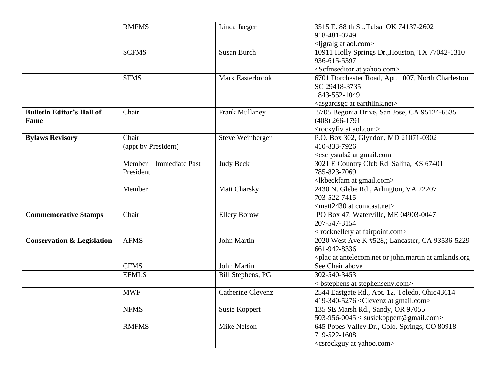|                                       | <b>RMFMS</b>            | Linda Jaeger             | 3515 E. 88 th St., Tulsa, OK 74137-2602                                         |
|---------------------------------------|-------------------------|--------------------------|---------------------------------------------------------------------------------|
|                                       |                         |                          | 918-481-0249                                                                    |
|                                       |                         |                          | <ligralg aol.com="" at=""></ligralg>                                            |
|                                       | <b>SCFMS</b>            | <b>Susan Burch</b>       | 10911 Holly Springs Dr., Houston, TX 77042-1310                                 |
|                                       |                         |                          | 936-615-5397                                                                    |
|                                       |                         |                          | <scfmseditor at="" yahoo.com=""></scfmseditor>                                  |
|                                       | <b>SFMS</b>             | Mark Easterbrook         | 6701 Dorchester Road, Apt. 1007, North Charleston,                              |
|                                       |                         |                          | SC 29418-3735                                                                   |
|                                       |                         |                          | 843-552-1049                                                                    |
|                                       |                         |                          | <asgardsgc at="" earthlink.net=""></asgardsgc>                                  |
| <b>Bulletin Editor's Hall of</b>      | Chair                   | <b>Frank Mullaney</b>    | 5705 Begonia Drive, San Jose, CA 95124-6535                                     |
| Fame                                  |                         |                          | $(408)$ 266-1791                                                                |
|                                       |                         |                          | <rockyfiv aol.com="" at=""></rockyfiv>                                          |
| <b>Bylaws Revisory</b>                | Chair                   | <b>Steve Weinberger</b>  | P.O. Box 302, Glyndon, MD 21071-0302                                            |
|                                       | (appt by President)     |                          | 410-833-7926                                                                    |
|                                       |                         |                          | <cscrystals2 at="" gmail.com<="" td=""></cscrystals2>                           |
|                                       | Member - Immediate Past | <b>Judy Beck</b>         | 3021 E Country Club Rd Salina, KS 67401                                         |
|                                       | President               |                          | 785-823-7069                                                                    |
|                                       |                         |                          | <lkbeckfam at="" gmail.com=""></lkbeckfam>                                      |
|                                       | Member                  | <b>Matt Charsky</b>      | 2430 N. Glebe Rd., Arlington, VA 22207                                          |
|                                       |                         |                          | 703-522-7415                                                                    |
|                                       |                         |                          | <matt2430 at="" comcast.net=""></matt2430>                                      |
| <b>Commemorative Stamps</b>           | Chair                   | <b>Ellery Borow</b>      | PO Box 47, Waterville, ME 04903-0047                                            |
|                                       |                         |                          | 207-547-3154                                                                    |
|                                       |                         |                          | < rocknellery at fairpoint.com>                                                 |
| <b>Conservation &amp; Legislation</b> | <b>AFMS</b>             | John Martin              | 2020 West Ave K #528,; Lancaster, CA 93536-5229                                 |
|                                       |                         |                          | 661-942-8336                                                                    |
|                                       |                         |                          | <plac amlands.org<="" antelecom.net="" at="" john.martin="" or="" th=""></plac> |
|                                       | <b>CFMS</b>             | John Martin              | See Chair above                                                                 |
|                                       | <b>EFMLS</b>            | <b>Bill Stephens, PG</b> | 302-540-3453                                                                    |
|                                       |                         |                          | <br>stephens at stephensenv.com>                                                |
|                                       | <b>MWF</b>              | <b>Catherine Clevenz</b> | 2544 Eastgate Rd., Apt. 12, Toledo, Ohio43614                                   |
|                                       |                         |                          | 419-340-5276 $\leq$ Clevenz at gmail.com>                                       |
|                                       | <b>NFMS</b>             | <b>Susie Koppert</b>     | 135 SE Marsh Rd., Sandy, OR 97055                                               |
|                                       |                         |                          | 503-956-0045 < susiekoppert@gmail.com>                                          |
|                                       | <b>RMFMS</b>            | Mike Nelson              | 645 Popes Valley Dr., Colo. Springs, CO 80918                                   |
|                                       |                         |                          | 719-522-1608                                                                    |
|                                       |                         |                          | <csrockguy at="" yahoo.com=""></csrockguy>                                      |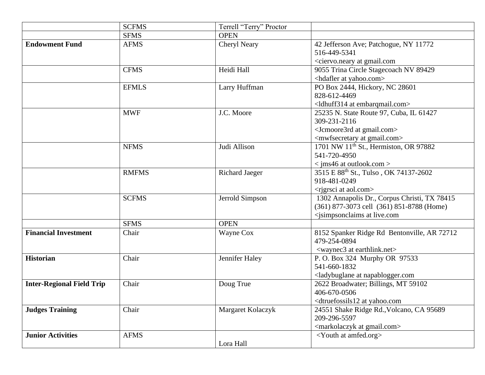|                                  | <b>SCFMS</b> | Terrell "Terry" Proctor |                                                             |
|----------------------------------|--------------|-------------------------|-------------------------------------------------------------|
|                                  | <b>SFMS</b>  | <b>OPEN</b>             |                                                             |
| <b>Endowment Fund</b>            | <b>AFMS</b>  | Cheryl Neary            | 42 Jefferson Ave; Patchogue, NY 11772                       |
|                                  |              |                         | 516-449-5341                                                |
|                                  |              |                         | <ciervo.neary at="" gmail.com<="" th=""></ciervo.neary>     |
|                                  | <b>CFMS</b>  | Heidi Hall              | 9055 Trina Circle Stagecoach NV 89429                       |
|                                  |              |                         | <hdafler at="" yahoo.com=""></hdafler>                      |
|                                  | <b>EFMLS</b> | Larry Huffman           | PO Box 2444, Hickory, NC 28601                              |
|                                  |              |                         | 828-612-4469                                                |
|                                  |              |                         | <ldhuff314 at="" embarqmail.com=""></ldhuff314>             |
|                                  | <b>MWF</b>   | J.C. Moore              | 25235 N. State Route 97, Cuba, IL 61427                     |
|                                  |              |                         | 309-231-2116                                                |
|                                  |              |                         | <jcmoore3rd at="" gmail.com=""></jcmoore3rd>                |
|                                  |              |                         | <mwfsecretary at="" gmail.com=""></mwfsecretary>            |
|                                  | <b>NFMS</b>  | Judi Allison            | 1701 NW 11 <sup>th</sup> St., Hermiston, OR 97882           |
|                                  |              |                         | 541-720-4950                                                |
|                                  |              |                         | $\langle$ jms46 at outlook.com $>$                          |
|                                  | <b>RMFMS</b> | <b>Richard Jaeger</b>   | 3515 E 88 <sup>th</sup> St., Tulso, OK 74137-2602           |
|                                  |              |                         | 918-481-0249                                                |
|                                  |              |                         | <rigrsci aol.com="" at=""></rigrsci>                        |
|                                  | <b>SCFMS</b> | Jerrold Simpson         | 1302 Annapolis Dr., Corpus Christi, TX 78415                |
|                                  |              |                         | (361) 877-3073 cell (361) 851-8788 (Home)                   |
|                                  |              |                         | <jsimpsonclaims at="" live.com<="" th=""></jsimpsonclaims>  |
|                                  | <b>SFMS</b>  | <b>OPEN</b>             |                                                             |
| <b>Financial Investment</b>      | Chair        | Wayne Cox               | 8152 Spanker Ridge Rd Bentonville, AR 72712                 |
|                                  |              |                         | 479-254-0894                                                |
|                                  |              |                         | <waynec3 at="" earthlink.net=""></waynec3>                  |
| <b>Historian</b>                 | Chair        | Jennifer Haley          | P. O. Box 324 Murphy OR 97533                               |
|                                  |              |                         | 541-660-1832                                                |
|                                  |              |                         | <ladybuglane at="" napablogger.com<="" th=""></ladybuglane> |
| <b>Inter-Regional Field Trip</b> | Chair        | Doug True               | 2622 Broadwater; Billings, MT 59102                         |
|                                  |              |                         | 406-670-0506                                                |
|                                  |              |                         | <dtruefossils12 at="" th="" yahoo.com<=""></dtruefossils12> |
| <b>Judges Training</b>           | Chair        | Margaret Kolaczyk       | 24551 Shake Ridge Rd., Volcano, CA 95689                    |
|                                  |              |                         | 209-296-5597                                                |
|                                  |              |                         | <markolaczyk at="" gmail.com=""></markolaczyk>              |
| <b>Junior Activities</b>         | <b>AFMS</b>  |                         | <youth amfed.org="" at=""></youth>                          |
|                                  |              | Lora Hall               |                                                             |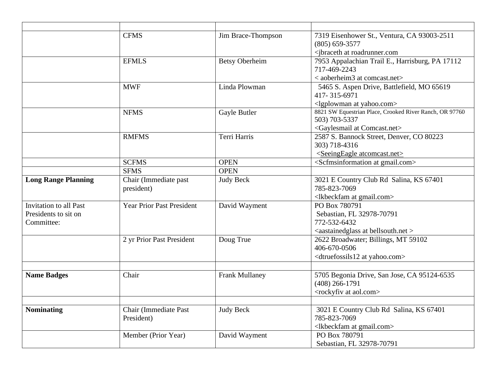|                               | <b>CFMS</b>                      | Jim Brace-Thompson    | 7319 Eisenhower St., Ventura, CA 93003-2511              |
|-------------------------------|----------------------------------|-----------------------|----------------------------------------------------------|
|                               |                                  |                       | $(805) 659 - 3577$                                       |
|                               |                                  |                       | <jbraceth at="" roadrunner.com<="" td=""></jbraceth>     |
|                               | <b>EFMLS</b>                     | <b>Betsy Oberheim</b> | 7953 Appalachian Trail E., Harrisburg, PA 17112          |
|                               |                                  |                       | 717-469-2243                                             |
|                               |                                  |                       | < aoberheim3 at comcast.net>                             |
|                               | <b>MWF</b>                       | Linda Plowman         | 5465 S. Aspen Drive, Battlefield, MO 65619               |
|                               |                                  |                       | 417-315-6971                                             |
|                               |                                  |                       | <lgplowman at="" yahoo.com=""></lgplowman>               |
|                               | <b>NFMS</b>                      | Gayle Butler          | 8821 SW Equestrian Place, Crooked River Ranch, OR 97760  |
|                               |                                  |                       | 503) 703-5337                                            |
|                               |                                  |                       | <gaylesmail at="" comcast.net=""></gaylesmail>           |
|                               | <b>RMFMS</b>                     | Terri Harris          | 2587 S. Bannock Street, Denver, CO 80223                 |
|                               |                                  |                       | 303) 718-4316                                            |
|                               |                                  |                       | <seeingeagle atcomcast.net=""></seeingeagle>             |
|                               | <b>SCFMS</b>                     | <b>OPEN</b>           | <scfmsinformation at="" gmail.com=""></scfmsinformation> |
|                               | <b>SFMS</b>                      | <b>OPEN</b>           |                                                          |
| <b>Long Range Planning</b>    | Chair (Immediate past            | <b>Judy Beck</b>      | 3021 E Country Club Rd Salina, KS 67401                  |
|                               | president)                       |                       | 785-823-7069                                             |
|                               |                                  |                       | <lkbeckfam at="" gmail.com=""></lkbeckfam>               |
| <b>Invitation to all Past</b> | <b>Year Prior Past President</b> | David Wayment         | PO Box 780791                                            |
| Presidents to sit on          |                                  |                       | Sebastian, FL 32978-70791                                |
| Committee:                    |                                  |                       | 772-532-6432                                             |
|                               |                                  |                       | <aastainedglass at="" bellsouth.net=""></aastainedglass> |
|                               | 2 yr Prior Past President        | Doug True             | 2622 Broadwater; Billings, MT 59102                      |
|                               |                                  |                       | 406-670-0506                                             |
|                               |                                  |                       | <dtruefossils12 at="" yahoo.com=""></dtruefossils12>     |
|                               |                                  |                       |                                                          |
| <b>Name Badges</b>            | Chair                            | <b>Frank Mullaney</b> | 5705 Begonia Drive, San Jose, CA 95124-6535              |
|                               |                                  |                       | $(408)$ 266-1791                                         |
|                               |                                  |                       | <rockyfiv aol.com="" at=""></rockyfiv>                   |
|                               |                                  |                       |                                                          |
| <b>Nominating</b>             | Chair (Immediate Past            | <b>Judy Beck</b>      | 3021 E Country Club Rd Salina, KS 67401                  |
|                               | President)                       |                       | 785-823-7069                                             |
|                               |                                  |                       | <lkbeckfam at="" gmail.com=""></lkbeckfam>               |
|                               | Member (Prior Year)              | David Wayment         | PO Box 780791                                            |
|                               |                                  |                       | Sebastian, FL 32978-70791                                |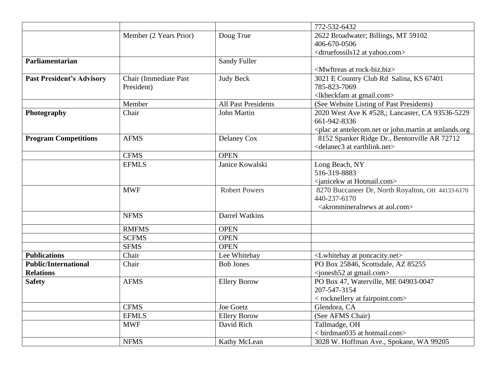|                                  |                        |                            | 772-532-6432                                                                    |
|----------------------------------|------------------------|----------------------------|---------------------------------------------------------------------------------|
|                                  | Member (2 Years Prior) | Doug True                  | 2622 Broadwater; Billings, MT 59102                                             |
|                                  |                        |                            | 406-670-0506                                                                    |
|                                  |                        |                            | <dtruefossils12 at="" yahoo.com=""></dtruefossils12>                            |
| Parliamentarian                  |                        | <b>Sandy Fuller</b>        |                                                                                 |
|                                  |                        |                            | <mwftreas at="" rock-biz.biz=""></mwftreas>                                     |
| <b>Past President's Advisory</b> | Chair (Immediate Past  | <b>Judy Beck</b>           | 3021 E Country Club Rd Salina, KS 67401                                         |
|                                  | President)             |                            | 785-823-7069                                                                    |
|                                  |                        |                            | <lkbeckfam at="" gmail.com=""></lkbeckfam>                                      |
|                                  | Member                 | <b>All Past Presidents</b> | (See Website Listing of Past Presidents)                                        |
| Photography                      | Chair                  | John Martin                | 2020 West Ave K #528,; Lancaster, CA 93536-5229                                 |
|                                  |                        |                            | 661-942-8336                                                                    |
|                                  |                        |                            | <plac amlands.org<="" antelecom.net="" at="" john.martin="" or="" th=""></plac> |
| <b>Program Competitions</b>      | <b>AFMS</b>            | Delaney Cox                | 8152 Spanker Ridge Dr., Bentonville AR 72712                                    |
|                                  |                        |                            | <delanec3 at="" earthlink.net=""></delanec3>                                    |
|                                  | <b>CFMS</b>            | <b>OPEN</b>                |                                                                                 |
|                                  | <b>EFMLS</b>           | Janice Kowalski            | Long Beach, NY                                                                  |
|                                  |                        |                            | 516-319-8883                                                                    |
|                                  |                        |                            | <janicekw at="" hotmail.com=""></janicekw>                                      |
|                                  | <b>MWF</b>             | <b>Robert Powers</b>       | 8270 Buccaneer Dr, North Royalton, OH 44133-6170                                |
|                                  |                        |                            | 440-237-6170                                                                    |
|                                  |                        |                            | <akronmineralnews aol.com="" at=""></akronmineralnews>                          |
|                                  | <b>NFMS</b>            | Darrel Watkins             |                                                                                 |
|                                  | <b>RMFMS</b>           | <b>OPEN</b>                |                                                                                 |
|                                  | <b>SCFMS</b>           | <b>OPEN</b>                |                                                                                 |
|                                  | <b>SFMS</b>            | <b>OPEN</b>                |                                                                                 |
| <b>Publications</b>              | Chair                  | Lee Whitebay               | <lwhitebay at="" poncacity.net=""></lwhitebay>                                  |
| <b>Public/International</b>      | Chair                  | <b>Bob Jones</b>           | PO Box 25846, Scottsdale, AZ 85255                                              |
| <b>Relations</b>                 |                        |                            | <jonesb52 at="" gmail.com=""></jonesb52>                                        |
| <b>Safety</b>                    | <b>AFMS</b>            | <b>Ellery Borow</b>        | PO Box 47, Waterville, ME 04903-0047                                            |
|                                  |                        |                            | 207-547-3154                                                                    |
|                                  |                        |                            | < rocknellery at fairpoint.com>                                                 |
|                                  | <b>CFMS</b>            | Joe Goetz                  | Glendora, CA                                                                    |
|                                  | <b>EFMLS</b>           | <b>Ellery Borow</b>        | (See AFMS Chair)                                                                |
|                                  | <b>MWF</b>             | David Rich                 | Tallmadge, OH                                                                   |
|                                  |                        |                            | <br>birdman035 at hotmail.com>                                                  |
|                                  | <b>NFMS</b>            | Kathy McLean               | 3028 W. Hoffman Ave., Spokane, WA 99205                                         |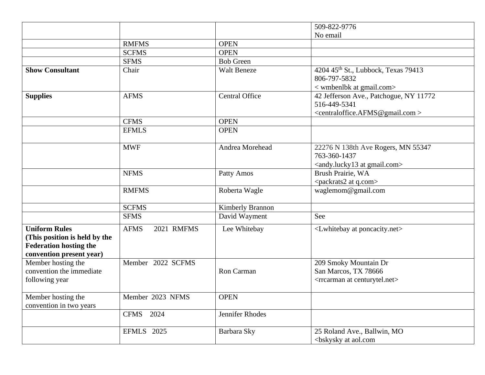|                                                                                                                    |                           |                       | 509-822-9776                                                                                                            |
|--------------------------------------------------------------------------------------------------------------------|---------------------------|-----------------------|-------------------------------------------------------------------------------------------------------------------------|
|                                                                                                                    |                           |                       | No email                                                                                                                |
|                                                                                                                    | <b>RMFMS</b>              | <b>OPEN</b>           |                                                                                                                         |
|                                                                                                                    | <b>SCFMS</b>              | <b>OPEN</b>           |                                                                                                                         |
|                                                                                                                    | <b>SFMS</b>               | <b>Bob Green</b>      |                                                                                                                         |
| <b>Show Consultant</b>                                                                                             | Chair                     | <b>Walt Beneze</b>    | 4204 45 <sup>th</sup> St., Lubbock, Texas 79413<br>806-797-5832<br>< wmbenlbk at gmail.com>                             |
| <b>Supplies</b>                                                                                                    | <b>AFMS</b>               | <b>Central Office</b> | 42 Jefferson Ave., Patchogue, NY 11772<br>516-449-5341<br><centraloffice.afms@gmail.com></centraloffice.afms@gmail.com> |
|                                                                                                                    | <b>CFMS</b>               | <b>OPEN</b>           |                                                                                                                         |
|                                                                                                                    | <b>EFMLS</b>              | <b>OPEN</b>           |                                                                                                                         |
|                                                                                                                    | <b>MWF</b>                | Andrea Morehead       | 22276 N 138th Ave Rogers, MN 55347<br>763-360-1437<br><andy.lucky13 at="" gmail.com=""></andy.lucky13>                  |
|                                                                                                                    | <b>NFMS</b>               | Patty Amos            | Brush Prairie, WA<br><packrats2 at="" q.com=""></packrats2>                                                             |
|                                                                                                                    | <b>RMFMS</b>              | Roberta Wagle         | waglemom@gmail.com                                                                                                      |
|                                                                                                                    | <b>SCFMS</b>              | Kimberly Brannon      |                                                                                                                         |
|                                                                                                                    | <b>SFMS</b>               | David Wayment         | See                                                                                                                     |
| <b>Uniform Rules</b><br>(This position is held by the<br><b>Federation hosting the</b><br>convention present year) | <b>AFMS</b><br>2021 RMFMS | Lee Whitebay          | <lwhitebay at="" poncacity.net=""></lwhitebay>                                                                          |
| Member hosting the<br>convention the immediate<br>following year                                                   | Member 2022 SCFMS         | Ron Carman            | 209 Smoky Mountain Dr<br>San Marcos, TX 78666<br><rrcarman at="" centurytel.net=""></rrcarman>                          |
| Member hosting the<br>convention in two years                                                                      | Member 2023 NFMS          | <b>OPEN</b>           |                                                                                                                         |
|                                                                                                                    | CFMS 2024                 | Jennifer Rhodes       |                                                                                                                         |
|                                                                                                                    | <b>EFMLS</b> 2025         | Barbara Sky           | 25 Roland Ave., Ballwin, MO<br><br>bskysky at aol.com                                                                   |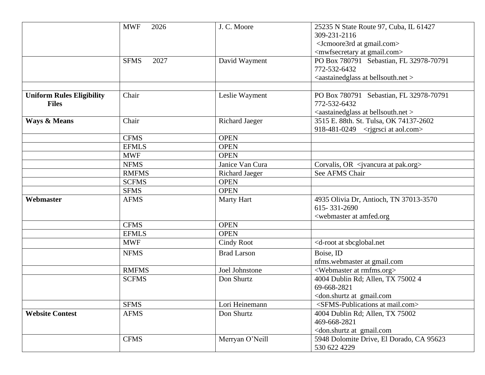|                                                  | <b>MWF</b><br>2026                        | J. C. Moore                               | 25235 N State Route 97, Cuba, IL 61427<br>309-231-2116<br><jcmoore3rd at="" gmail.com=""><br/><mwfsecretary at="" gmail.com=""></mwfsecretary></jcmoore3rd> |
|--------------------------------------------------|-------------------------------------------|-------------------------------------------|-------------------------------------------------------------------------------------------------------------------------------------------------------------|
|                                                  | <b>SFMS</b><br>2027                       | David Wayment                             | PO Box 780791 Sebastian, FL 32978-70791<br>772-532-6432<br><aastainedglass at="" bellsouth.net=""></aastainedglass>                                         |
| <b>Uniform Rules Eligibility</b><br><b>Files</b> | Chair                                     | Leslie Wayment                            | PO Box 780791 Sebastian, FL 32978-70791<br>772-532-6432<br><aastainedglass at="" bellsouth.net=""></aastainedglass>                                         |
| <b>Ways &amp; Means</b>                          | Chair                                     | <b>Richard Jaeger</b>                     | 3515 E. 88th. St. Tulsa, OK 74137-2602<br>918-481-0249 <rigrsci aol.com="" at=""></rigrsci>                                                                 |
|                                                  | <b>CFMS</b><br><b>EFMLS</b><br><b>MWF</b> | <b>OPEN</b><br><b>OPEN</b><br><b>OPEN</b> |                                                                                                                                                             |
|                                                  | <b>NFMS</b><br><b>RMFMS</b>               | Janice Van Cura<br><b>Richard Jaeger</b>  | Corvalis, OR <ivancura at="" pak.org=""><br/>See AFMS Chair</ivancura>                                                                                      |
|                                                  | <b>SCFMS</b><br><b>SFMS</b>               | <b>OPEN</b><br><b>OPEN</b>                |                                                                                                                                                             |
| Webmaster                                        | <b>AFMS</b>                               | Marty Hart                                | 4935 Olivia Dr, Antioch, TN 37013-3570<br>615-331-2690<br><webmaster amfed.org<="" at="" td=""></webmaster>                                                 |
|                                                  | <b>CFMS</b>                               | <b>OPEN</b>                               |                                                                                                                                                             |
|                                                  | <b>EFMLS</b>                              | <b>OPEN</b>                               |                                                                                                                                                             |
|                                                  | <b>MWF</b>                                | <b>Cindy Root</b>                         | <d-root at="" sbcglobal.net<="" td=""></d-root>                                                                                                             |
|                                                  | <b>NFMS</b>                               | <b>Brad Larson</b>                        | Boise, ID<br>nfms.webmaster at gmail.com                                                                                                                    |
|                                                  | <b>RMFMS</b>                              | Joel Johnstone                            | <webmaster at="" rmfms.org=""></webmaster>                                                                                                                  |
|                                                  | <b>SCFMS</b>                              | Don Shurtz                                | 4004 Dublin Rd; Allen, TX 75002 4<br>69-668-2821<br><don.shurtz at="" gmail.com<="" td=""></don.shurtz>                                                     |
|                                                  | <b>SFMS</b>                               | Lori Heinemann                            | <sfms-publications at="" mail.com=""></sfms-publications>                                                                                                   |
| <b>Website Contest</b>                           | <b>AFMS</b>                               | Don Shurtz                                | 4004 Dublin Rd; Allen, TX 75002<br>469-668-2821<br><don.shurtz at="" gmail.com<="" td=""></don.shurtz>                                                      |
|                                                  | <b>CFMS</b>                               | Merryan O'Neill                           | 5948 Dolomite Drive, El Dorado, CA 95623<br>530 622 4229                                                                                                    |